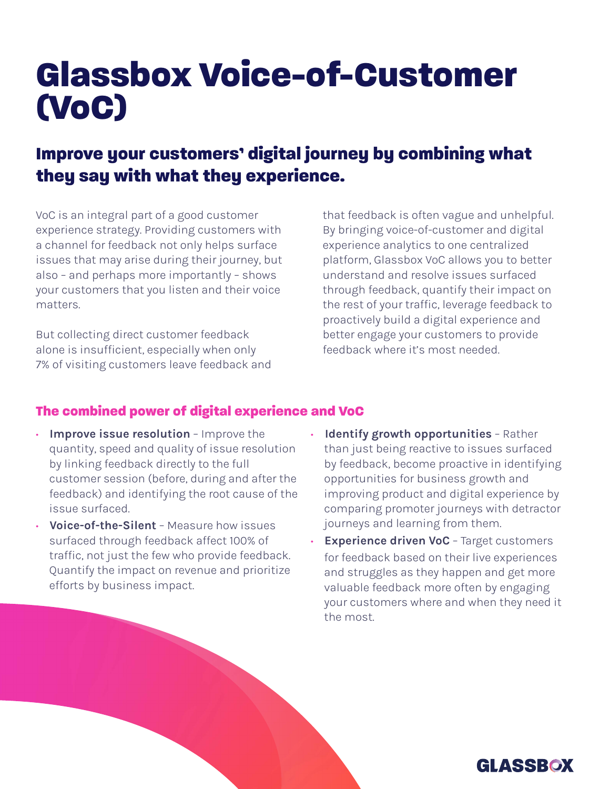## Glassbox Voice-of-Customer (VoC)

## Improve your customers' digital journey by combining what they say with what they experience.

VoC is an integral part of a good customer experience strategy. Providing customers with a channel for feedback not only helps surface issues that may arise during their journey, but also - and perhaps more importantly - shows your customers that you listen and their voice .matters

But collecting direct customer feedback alone is insufficient, especially when only 7% of visiting customers leave feedback and that feedback is often vague and unhelpful. By bringing voice-of-customer and digital experience analytics to one centralized platform, Glassbox VoC allows you to better understand and resolve issues surfaced through feedback, quantify their impact on the rest of your traffic, leverage feedback to proactively build a digital experience and better engage your customers to provide feedback where it's most needed.

## The combined power of digital experience and VoC

- Improve issue resolution Improve the quantity, speed and quality of issue resolution by linking feedback directly to the full customer session (before, during and after the feedback) and identifying the root cause of the issue surfaced.
- Voice-of-the-Silent Measure how issues surfaced through feedback affect 100% of traffic, not just the few who provide feedback. Quantify the impact on revenue and prioritize efforts by business impact.
- Identify growth opportunities Rather than just being reactive to issues surfaced by feedback, become proactive in identifying opportunities for business growth and improving product and digital experience by comparing promoter journeys with detractor journeys and learning from them.
- Experience driven VoC Target customers for feedback based on their live experiences and struggles as they happen and get more valuable feedback more often by engaging your customers where and when they need it the most